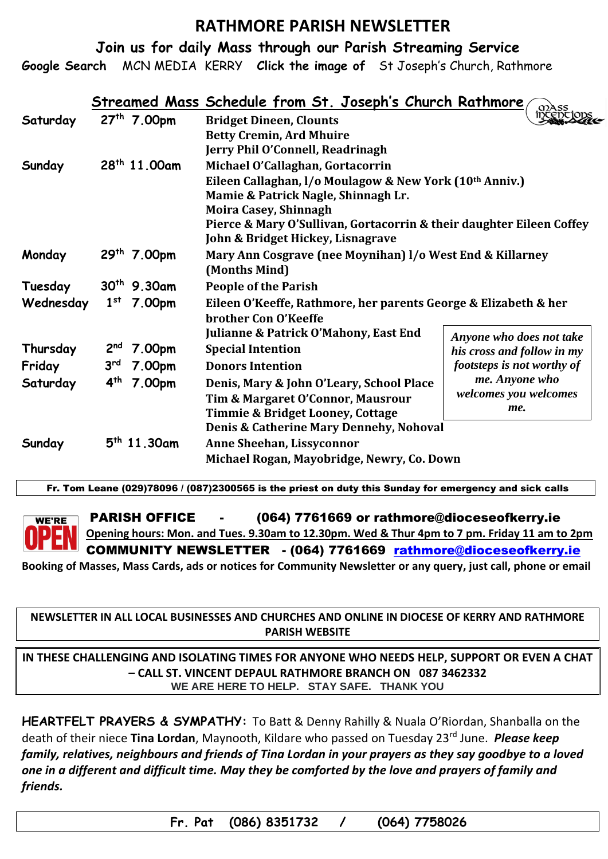### **RATHMORE PARISH NEWSLETTER**

**Join us for daily Mass through our Parish Streaming Service**

**Google Search** MCN MEDIA KERRY **Click the image of** St Joseph's Church, Rathmore

|           |                                            | Streamed Mass Schedule from St. Joseph's Church Rathmore             |                            |
|-----------|--------------------------------------------|----------------------------------------------------------------------|----------------------------|
| Saturday  | 27 <sup>th</sup> 7.00pm                    | <b>Bridget Dineen, Clounts</b>                                       |                            |
|           |                                            | <b>Betty Cremin, Ard Mhuire</b>                                      |                            |
|           |                                            | Jerry Phil O'Connell, Readrinagh                                     |                            |
| Sunday    | 28 <sup>th</sup> 11.00am                   | Michael O'Callaghan, Gortacorrin                                     |                            |
|           |                                            | Eileen Callaghan, I/o Moulagow & New York (10th Anniv.)              |                            |
|           |                                            | Mamie & Patrick Nagle, Shinnagh Lr.                                  |                            |
|           |                                            | <b>Moira Casey, Shinnagh</b>                                         |                            |
|           |                                            | Pierce & Mary O'Sullivan, Gortacorrin & their daughter Eileen Coffey |                            |
|           |                                            | John & Bridget Hickey, Lisnagrave                                    |                            |
| Monday    | 29 <sup>th</sup> 7.00pm                    | Mary Ann Cosgrave (nee Moynihan) I/o West End & Killarney            |                            |
|           |                                            | (Months Mind)                                                        |                            |
| Tuesday   | $30^{th}$ 9.30am                           | <b>People of the Parish</b>                                          |                            |
| Wednesday | 1 <sup>st</sup><br>7.00pm                  | Eileen O'Keeffe, Rathmore, her parents George & Elizabeth & her      |                            |
|           |                                            | brother Con O'Keeffe                                                 |                            |
|           |                                            | <b>Julianne &amp; Patrick O'Mahony, East End</b>                     | Anyone who does not take   |
| Thursday  | $2nd$ 7.00pm                               | <b>Special Intention</b>                                             | his cross and follow in my |
| Friday    | 3 <sup>rd</sup><br>7.00pm                  | <b>Donors Intention</b>                                              | footsteps is not worthy of |
| Saturday  | $4^{th}$<br>7.00pm                         | Denis, Mary & John O'Leary, School Place                             | me. Anyone who             |
|           |                                            | Tim & Margaret O'Connor, Mausrour                                    | welcomes you welcomes      |
|           |                                            | <b>Timmie &amp; Bridget Looney, Cottage</b>                          | me.                        |
|           |                                            | Denis & Catherine Mary Dennehy, Nohoval                              |                            |
| Sunday    | $5th$ 11.30am                              | Anne Sheehan, Lissyconnor                                            |                            |
|           | Michael Rogan, Mayobridge, Newry, Co. Down |                                                                      |                            |

Fr. Tom Leane (029)78096 / (087)2300565 is the priest on duty this Sunday for emergency and sick calls



PARISH OFFICE - (064) 7761669 or rathmore@dioceseofkerry.ie **Opening hours: Mon. and Tues. 9.30am to 12.30pm. Wed & Thur 4pm to 7 pm. Friday 11 am to 2pm** COMMUNITY NEWSLETTER - (064) 7761669 [rathmore@dioceseofkerry.ie](mailto:rathmore@dioceseofkerry.ie)

**Booking of Masses, Mass Cards, ads or notices for Community Newsletter or any query, just call, phone or email** 

#### **NEWSLETTER IN ALL LOCAL BUSINESSES AND CHURCHES AND ONLINE IN DIOCESE OF KERRY AND RATHMORE PARISH WEBSITE**

**IN THESE CHALLENGING AND ISOLATING TIMES FOR ANYONE WHO NEEDS HELP, SUPPORT OR EVEN A CHAT – CALL ST. VINCENT DEPAUL RATHMORE BRANCH ON 087 3462332 WE ARE HERE TO HELP. STAY SAFE. THANK YOU**

**HEARTFELT PRAYERS & SYMPATHY:** To Batt & Denny Rahilly & Nuala O'Riordan, Shanballa on the death of their niece **Tina Lordan**, Maynooth, Kildare who passed on Tuesday 23rd June. *Please keep family, relatives, neighbours and friends of Tina Lordan in your prayers as they say goodbye to a loved one in a different and difficult time. May they be comforted by the love and prayers of family and friends.*

 **Fr. Pat (086) 8351732 / (064) 7758026**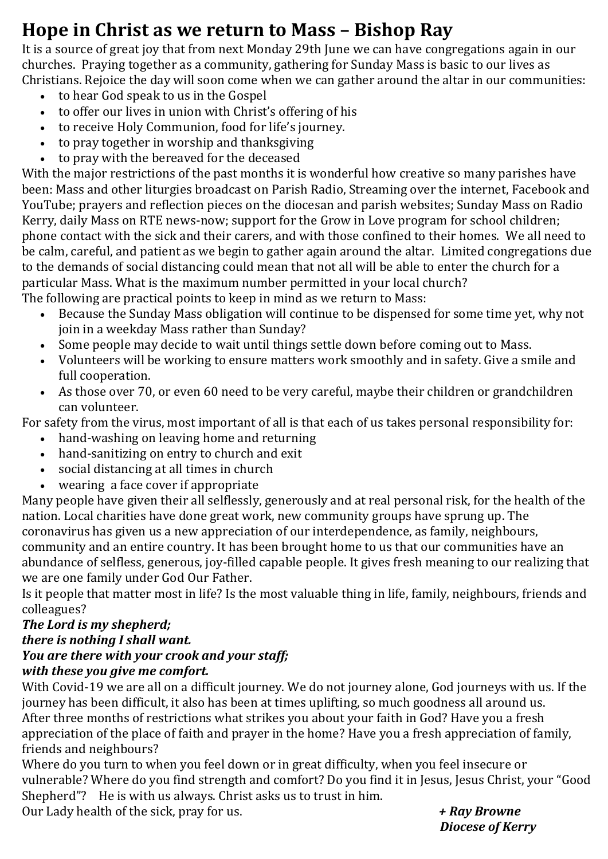# **Hope in Christ as we return to Mass – Bishop Ray**

It is a source of great joy that from next Monday 29th June we can have congregations again in our churches. Praying together as a community, gathering for Sunday Mass is basic to our lives as Christians. Rejoice the day will soon come when we can gather around the altar in our communities:

- to hear God speak to us in the Gospel
- to offer our lives in union with Christ's offering of his
- to receive Holy Communion, food for life's journey.
- to pray together in worship and thanksgiving
- to pray with the bereaved for the deceased

With the major restrictions of the past months it is wonderful how creative so many parishes have been: Mass and other liturgies broadcast on Parish Radio, Streaming over the internet, Facebook and YouTube; prayers and reflection pieces on the diocesan and parish websites; Sunday Mass on Radio Kerry, daily Mass on RTE news-now; support for the Grow in Love program for school children; phone contact with the sick and their carers, and with those confined to their homes. We all need to be calm, careful, and patient as we begin to gather again around the altar. Limited congregations due to the demands of social distancing could mean that not all will be able to enter the church for a particular Mass. What is the maximum number permitted in your local church?

The following are practical points to keep in mind as we return to Mass:

- Because the Sunday Mass obligation will continue to be dispensed for some time yet, why not join in a weekday Mass rather than Sunday?
- Some people may decide to wait until things settle down before coming out to Mass.
- Volunteers will be working to ensure matters work smoothly and in safety. Give a smile and full cooperation.
- As those over 70, or even 60 need to be very careful, maybe their children or grandchildren can volunteer.

For safety from the virus, most important of all is that each of us takes personal responsibility for:

- hand-washing on leaving home and returning
- hand-sanitizing on entry to church and exit
- social distancing at all times in church
- wearing a face cover if appropriate

Many people have given their all selflessly, generously and at real personal risk, for the health of the nation. Local charities have done great work, new community groups have sprung up. The coronavirus has given us a new appreciation of our interdependence, as family, neighbours, community and an entire country. It has been brought home to us that our communities have an abundance of selfless, generous, joy-filled capable people. It gives fresh meaning to our realizing that we are one family under God Our Father.

Is it people that matter most in life? Is the most valuable thing in life, family, neighbours, friends and colleagues?

### *The Lord is my shepherd; there is nothing I shall want. You are there with your crook and your staff; with these you give me comfort.*

With Covid-19 we are all on a difficult journey. We do not journey alone, God journeys with us. If the journey has been difficult, it also has been at times uplifting, so much goodness all around us. After three months of restrictions what strikes you about your faith in God? Have you a fresh appreciation of the place of faith and prayer in the home? Have you a fresh appreciation of family, friends and neighbours?

Where do you turn to when you feel down or in great difficulty, when you feel insecure or vulnerable? Where do you find strength and comfort? Do you find it in Jesus, Jesus Christ, your "Good Shepherd"? He is with us always. Christ asks us to trust in him.

Our Lady health of the sick, pray for us. *+ Ray Browne*

 *Diocese of Kerry*